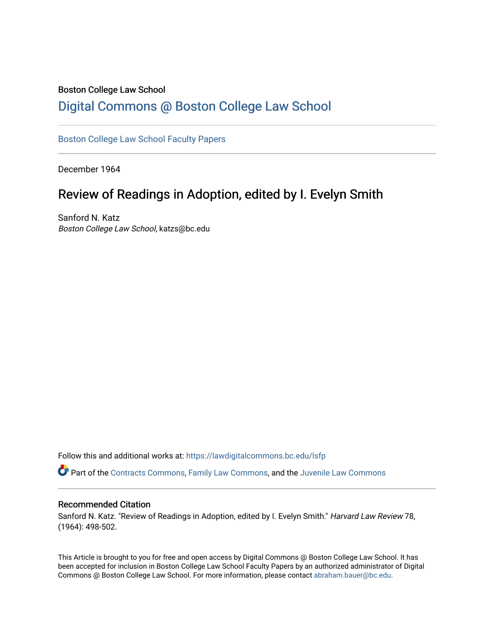### Boston College Law School

## [Digital Commons @ Boston College Law School](https://lawdigitalcommons.bc.edu/)

### [Boston College Law School Faculty Papers](https://lawdigitalcommons.bc.edu/lsfp)

December 1964

# Review of Readings in Adoption, edited by I. Evelyn Smith

Sanford N. Katz Boston College Law School, katzs@bc.edu

Follow this and additional works at: [https://lawdigitalcommons.bc.edu/lsfp](https://lawdigitalcommons.bc.edu/lsfp?utm_source=lawdigitalcommons.bc.edu%2Flsfp%2F799&utm_medium=PDF&utm_campaign=PDFCoverPages) 

Part of the [Contracts Commons](http://network.bepress.com/hgg/discipline/591?utm_source=lawdigitalcommons.bc.edu%2Flsfp%2F799&utm_medium=PDF&utm_campaign=PDFCoverPages), [Family Law Commons](http://network.bepress.com/hgg/discipline/602?utm_source=lawdigitalcommons.bc.edu%2Flsfp%2F799&utm_medium=PDF&utm_campaign=PDFCoverPages), and the [Juvenile Law Commons](http://network.bepress.com/hgg/discipline/851?utm_source=lawdigitalcommons.bc.edu%2Flsfp%2F799&utm_medium=PDF&utm_campaign=PDFCoverPages)

#### Recommended Citation

Sanford N. Katz. "Review of Readings in Adoption, edited by I. Evelyn Smith." Harvard Law Review 78, (1964): 498-502.

This Article is brought to you for free and open access by Digital Commons @ Boston College Law School. It has been accepted for inclusion in Boston College Law School Faculty Papers by an authorized administrator of Digital Commons @ Boston College Law School. For more information, please contact [abraham.bauer@bc.edu.](mailto:abraham.bauer@bc.edu)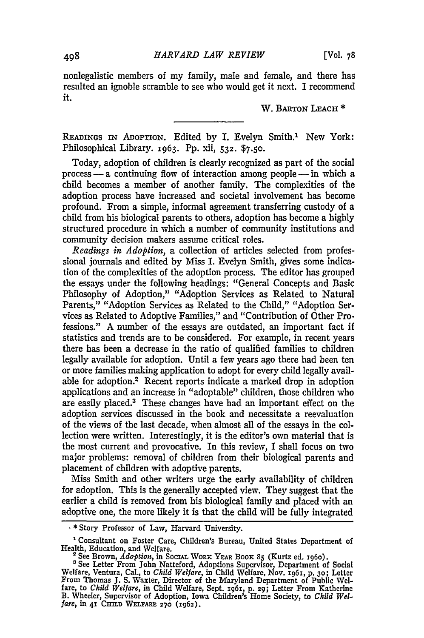nonlegalistic members of my family, male and female, and there has resulted an ignoble scramble to see who would get it next. I recommend it.

W. BARTON **LEACH \***

**READINGS IN** ADOPTION. Edited **by I.** Evelyn Smith.' New York: Philosophical Library. 1963. Pp. xii, **532. \$7.50.**

Today, adoption of children is clearly recognized as part of the social  $process - a$  continuing flow of interaction among people $-$  in which a child becomes a member of another family. The complexities of the adoption process have increased and societal involvement has become profound. From a simple, informal agreement transferring custody of a child from his biological parents to others, adoption has become a **highly** structured procedure in which a number of community institutions and community decision makers assume critical roles.

*Readings in Adoption,* a collection of articles selected from professional journals and edited **by** Miss I. Evelyn Smith, gives some indication of the complexities of the adoption process. The editor has grouped the essays under the following headings: "General Concepts and Basic Philosophy of Adoption," "Adoption Services as Related to Natural Parents," "Adoption Services as Related to the Child," "Adoption Services as Related to Adoptive Families," and "Contribution of Other Professions." **A** number of the essays are outdated, an important fact if statistics and trends are to be considered. For example, in recent years there has been a decrease in the ratio of qualified families to children legally available for adoption. Until a few years ago there had been ten or more families making application to adopt for every child legally available for adoption.2 Recent reports indicate a marked drop in adoption applications and an increase in "adoptable" children, those children who are easily placed.<sup>3</sup> These changes have had an important effect on the adoption services discussed in the book and necessitate a reevaluation of the views of the last decade, when almost all of the essays in the collection were written. Interestingly, it is the editor's own material that is the most current and provocative. In this review, **I** shall focus on two major problems: removal of children from their biological parents and placement of children with adoptive parents.

Miss Smith and other writers urge the early availability of children for adoption. This is the generally accepted view. They suggest that the earlier a child is removed from his biological family and placed with an adoptive one, the more likely it is that the child will be fully integrated

**<sup>\*</sup>** Story Professor of Law, Harvard University.

**<sup>1</sup>**Consultant on Foster Care, Children's Bureau, United States Department of Health, Education, and Welfare. **<sup>2</sup>**See Brown, Adoption, in Socm WoRx **YEAR** Boox **85** (Kurtz ed. ig6o).

<sup>&</sup>lt;sup>3</sup> See Letter From John Natteford, Adoptions Supervisor, Department of Social Welfare, Ventura, Cal., to Child Welfare, in Child Welfare, Nov. 1961, p. 30; Letter<br>From Thomas J. S. Waxter, Director of the Maryland Department of Public Welfare, to Child Welfare, in Child Welfare, Sept. 1961, p. 29; L B. Wheeler, Supervisor of Adoption, Iowa Children's Home Society, to *Child Wel*fare, in 41 CHILD WELFARE 270 (1962).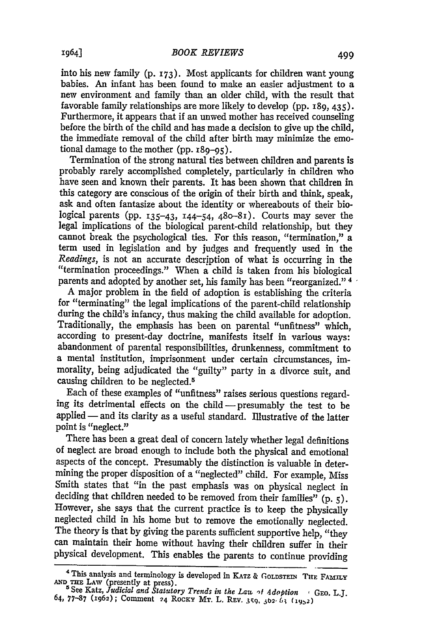into his new family (p. 173). Most applicants for children want young babies. An infant has been found to make an easier adjustment to a new environment and family than an older child, with the result that favorable family relationships are more likely to develop (pp. 189, 435). Furthermore, it appears that if an unwed mother has received counseling before the birth of the child and has made a decision to give up the child, the immediate removal of the child after birth may minimize the emotional damage to the mother (pp. z89-95).

Termination of the strong natural ties between children and parents is probably rarely accomplished completely, particularly in children who have seen and known their parents. It has been shown that children in this category are conscious of the origin of their birth and think, speak, ask and often fantasize about the identity or whereabouts of their biological parents (pp.  $135-43$ ,  $144-54$ ,  $480-81$ ). Courts may sever the legal implications of the biological parent-child relationship, but they cannot break the psychological ties. For this reason, "termination," a term used in legislation and by judges and frequently used in the *Readings,* is not an accurate description of what is occurring in the "termination proceedings." When a child is taken from his biological parents and adopted by another set, his family has been "reorganized." <sup>4</sup>

A major problem in the field of adoption is establishing the criteria for "terminating" the legal implications of the parent-child relationship during the child's infancy, thus making the child available for adoption. Traditionally, the emphasis has been on parental "unfitness" which, according to present-day doctrine, manifests itself in various ways: abandonment of parental responsibilities, drunkenness, commitment to a mental institution, imprisonment under certain circumstances, immorality, being adjudicated the "guilty" party in a divorce suit, and causing children to be neglected.<sup>5</sup>

Each of these examples of "unfitness" raises serious questions regarding its detrimental effects on the child -- presumably the test to be applied - and its clarity as a useful standard. Illustrative of the latter point is "neglect."

There has been a great deal of concern lately whether legal definitions of neglect are broad enough to include both the physical and emotional aspects of the concept. Presumably the distinction is valuable in determining the proper disposition of a "neglected" child. For example, Miss Smith states that "in the past emphasis was on physical neglect in deciding that children needed to be removed from their families" (p. **5).** However, she says that the current practice is to keep the physically neglected child in his home but to remove the emotionally neglected. The theory is that by giving the parents sufficient supportive help, "they can maintain their home without having their children suffer in their physical development. This enables the parents to continue providing

<sup>4</sup>This analysis and terminology is developed in **KATZ & G0LDSTEIN** THE *FAmiLY*

AND THE LAW (presently at press).<br><sup>5</sup> See Katz, Judicial and Statutory Trends in the Law of Adoption GEO. L.J.<br>64, 77-87 (1962); Comment 24 ROCKY MT. L. REV. 359, 362 63 (1952)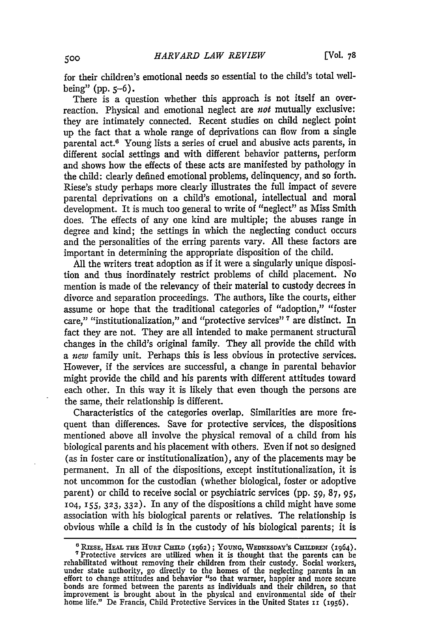for their children's emotional needs so essential to the child's total wellbeing" (pp. **5-6).**

There is a question whether this approach is not itself an overreaction. Physical and emotional neglect are *not* mutually exclusive: they are intimately connected. Recent studies on child neglect point up the fact that a whole range of deprivations can flow from a single parental act.6 Young lists a series of cruel and abusive acts parents, in different social settings and with different behavior patterns, perform and shows how the effects of these acts are manifested by pathology in the child: clearly defined emotional problems, delinquency, and so forth. Riese's study perhaps more clearly illustrates the full impact of severe parental deprivations on a child's emotional, intellectual and moral development. It is much too general to write of "neglect" as Miss Smith does. The effects of any one kind are multiple; the abuses range in degree and kind; the settings in which the neglecting conduct occurs and the personalities of the erring parents vary. All these factors are important in determining the appropriate disposition of the child.

All the writers treat adoption as if it were a singularly unique disposition and thus inordinately restrict problems of child placement. No mention is made of the relevancy of their material to custody decrees in divorce and separation proceedings. The authors, like the courts, either assume or hope that the traditional categories of "adoption," "foster care," "institutionalization," and "protective services" **7** are distinct. In fact they are not. They are all intended to make permanent structural changes in the child's original family. They all provide the child with a *new* family unit. Perhaps this is less obvious in protective services. However, if the services are successful, a change in parental behavior might provide the child and his parents with different attitudes toward each other. In this way it is likely that even though the persons are the same, their relationship is different.

Characteristics of the categories overlap. Similarities are more frequent than differences. Save for protective services, the dispositions mentioned above all involve the physical removal of a child from his biological parents and his placement with others. Even if not so designed (as in foster care or institutionalization), any of the placements may be permanent. In all of the dispositions, except institutionalization, it is not uncommon for the custodian (whether biological, foster or adoptive parent) or child to receive social or psychiatric services (pp. **59,** 87, **95, 104, 155, 323, 332).** In any of the dispositions a child might have some association with his biological parents or relatives. The relationship is obvious while a child is in the custody of his biological parents; it is

**<sup>6</sup> RIEsE, HEAL THE HURT CHILD (z962); YOUNG, WEDNESDAY'S CUMDREN** (1964).

<sup>&#</sup>x27;Protective services are utilized when it is thought that the parents can **be** rehabilitated without removing their children from their custody. Social workers, under state authority, go directly to the homes of the neglecting parents in an<br>effort to change attitudes and behavior "so that warmer, happier and more secure<br>bonds are formed between the parents as individuals and thei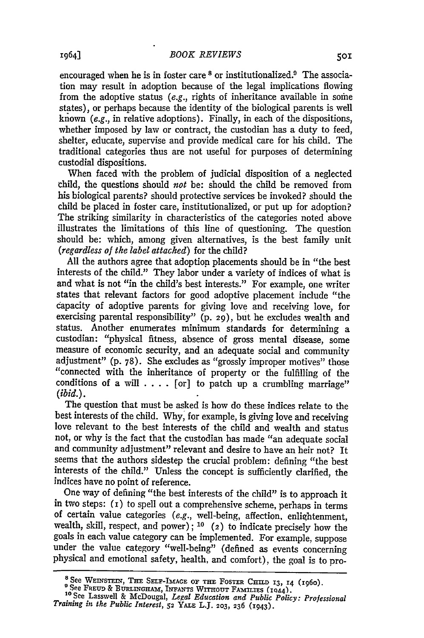encouraged when he is in foster care **8** or institutionalized.9 The association may result in adoption because of the legal implications flowing from the adoptive status  $(e.g.,$  rights of inheritance available in some states), or perhaps because the identity of the biological parents is well known *(e.g.,* in relative adoptions). Finally, in each of the dispositions, whether imposed by law or contract, the custodian has a duty to feed, shelter, educate, supervise and provide medical care for his child. The traditional categories thus are not useful for purposes of determining custodial dispositions.

When faced with the problem of judicial disposition of a neglected child, the questions should *not* be: should the child be removed from his biological parents? should protective services be invoked? should the child be placed in foster care, institutionalized, or put up for adoption? The striking similarity in characteristics of the categories noted above illustrates the limitations of this line of questioning. The question should be: which, among given alternatives, is the best family unit *(regardless of the label attacked)* for the child?

All the authors agree that adoption placements should be in "the best interests of the child." They labor under a variety of indices of what is and what is not "in the child's best interests." For example, one writer states that relevant factors for good adoptive placement include "the capacity of adoptive parents for giving love and receiving love, for exercising parental responsibility" (p. 29), but he excludes wealth and status. Another enumerates minimum standards for determining a custodian: "physical fitness, absence of gross mental disease, some measure of economic security, and an adequate social and community adjustment" (p. 78). She excludes as "grossly improper motives" those "connected with the inheritance of property or the fulfilling of the conditions of a will . **. .** . [or] to patch up a crumbling marriage" *(ibid.).*

The question that must be asked is how do these indices relate to the best interests of the child. Why, for example, is giving love and receiving love relevant to the best interests of the child and wealth and status not, or why is the fact that the custodian has made "an adequate social and community adjustment" relevant and desire to have an heir not? It seems that the authors sidestep the crucial problem: defining "the best interests of the child." Unless the concept is sufficiently clarified, the indices have no point of reference.

One way of defining "the best interests of the child" is to approach it in two steps: **(i)** to spell out a comprehensive scheme, perhaps in terms of certain value categories *(e.g.,* well-being, affection, enlightenment, wealth, skill, respect, and power); **10** (2) to indicate precisely how the goals in each value category can be implemented. For example, suppose under the value category "well-being" (defined as events concerning physical and emotional safety, health, and comfort), the goal is to pro-

**<sup>8</sup>** See **WEiNSTEI, THE SELf-ImAGE Or THE** FOSTER **CHMD 13,** 14 **(ig6o).**

<sup>&</sup>lt;sup>9</sup> See FREUD & BURLINGHAM, INFANTS WITHOUT FAMILIES (1044).<br><sup>10</sup> See Lasswell & McDougal, *Legal Education and Public Policy: Professional Training in the Public Interest,* **52 YALE L.J. 203, 236 (1943).**